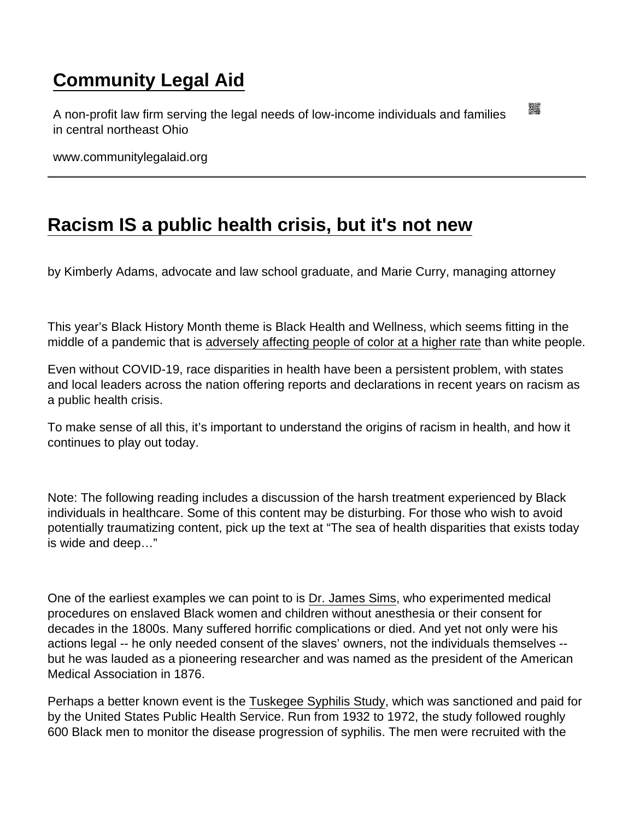## [Community Legal Aid](https://www.communitylegalaid.org/)

A non-profit law firm serving the legal needs of low-income individuals and families in central northeast Ohio

www.communitylegalaid.org

## [Racism IS a public health crisis, but it's not new](https://www.communitylegalaid.org/node/1670/racism-public-health-crisis-its-not-new)

by Kimberly Adams, advocate and law school graduate, and Marie Curry, managing attorney

This year's Black History Month theme is Black Health and Wellness, which seems fitting in the middle of a pandemic that is [adversely affecting people of color at a higher rate](https://www.hopkinsmedicine.org/health/conditions-and-diseases/coronavirus/covid19-racial-disparities) than white people.

Even without COVID-19, race disparities in health have been a persistent problem, with states and local leaders across the nation offering reports and declarations in recent years on racism as a public health crisis.

To make sense of all this, it's important to understand the origins of racism in health, and how it continues to play out today.

Note: The following reading includes a discussion of the harsh treatment experienced by Black individuals in healthcare. Some of this content may be disturbing. For those who wish to avoid potentially traumatizing content, pick up the text at "The sea of health disparities that exists today is wide and deep…"

One of the earliest examples we can point to is [Dr. James Sims,](https://www.history.com/news/the-father-of-modern-gynecology-performed-shocking-experiments-on-slaves) who experimented medical procedures on enslaved Black women and children without anesthesia or their consent for decades in the 1800s. Many suffered horrific complications or died. And yet not only were his actions legal -- he only needed consent of the slaves' owners, not the individuals themselves - but he was lauded as a pioneering researcher and was named as the president of the American Medical Association in 1876.

Perhaps a better known event is the [Tuskegee Syphilis Study](https://www.history.com/news/the-infamous-40-year-tuskegee-study), which was sanctioned and paid for by the United States Public Health Service. Run from 1932 to 1972, the study followed roughly 600 Black men to monitor the disease progression of syphilis. The men were recruited with the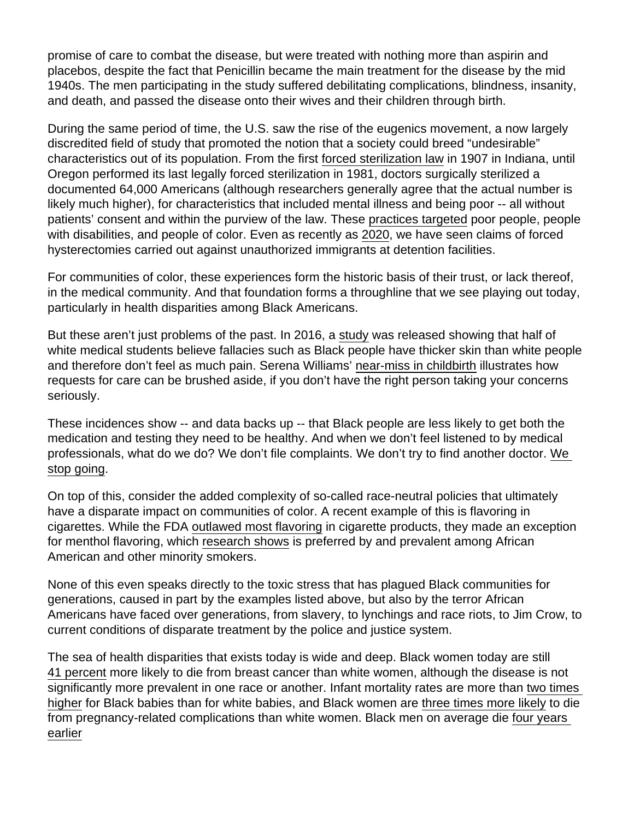promise of care to combat the disease, but were treated with nothing more than aspirin and placebos, despite the fact that Penicillin became the main treatment for the disease by the mid 1940s. The men participating in the study suffered debilitating complications, blindness, insanity, and death, and passed the disease onto their wives and their children through birth.

During the same period of time, the U.S. saw the rise of the eugenics movement, a now largely discredited field of study that promoted the notion that a society could breed "undesirable" characteristics out of its population. From the first [forced sterilization law](https://pubmed.ncbi.nlm.nih.gov/26322647/) in 1907 in Indiana, until Oregon performed its last legally forced sterilization in 1981, doctors surgically sterilized a documented 64,000 Americans (although researchers generally agree that the actual number is likely much higher), for characteristics that included mental illness and being poor -- all without patients' consent and within the purview of the law. These [practices targeted](https://ihpi.umich.edu/news/forced-sterilization-policies-us-targeted-minorities-and-those-disabilities-and-lasted-21st) poor people, people with disabilities, and people of color. Even as recently as [2020](https://www.popsci.com/story/health/forced-sterilization-american-history/), we have seen claims of forced hysterectomies carried out against unauthorized immigrants at detention facilities.

For communities of color, these experiences form the historic basis of their trust, or lack thereof, in the medical community. And that foundation forms a throughline that we see playing out today, particularly in health disparities among Black Americans.

But these aren't just problems of the past. In 2016, a [study](https://www.pnas.org/content/113/16/4296) was released showing that half of white medical students believe fallacies such as Black people have thicker skin than white people and therefore don't feel as much pain. Serena Williams' [near-miss in childbirth](https://www.essence.com/news/serena-williams-doctors-listening-black-women-during-pregnancy/) illustrates how requests for care can be brushed aside, if you don't have the right person taking your concerns seriously.

These incidences show -- and data backs up -- that Black people are less likely to get both the medication and testing they need to be healthy. And when we don't feel listened to by medical professionals, what do we do? We don't file complaints. We don't try to find another doctor. [We](https://drive.google.com/file/d/1fdvbqVnYjd2mO8jner4ISKmpk3g7nbtw/view?usp=sharing)  [stop going](https://drive.google.com/file/d/1fdvbqVnYjd2mO8jner4ISKmpk3g7nbtw/view?usp=sharing).

On top of this, consider the added complexity of so-called race-neutral policies that ultimately have a disparate impact on communities of color. A recent example of this is flavoring in cigarettes. While the FDA [outlawed most flavoring](https://www.fda.gov/news-events/press-announcements/fda-commits-evidence-based-actions-aimed-saving-lives-and-preventing-future-generations-smokers) in cigarette products, they made an exception for menthol flavoring, which [research shows](https://www.cdc.gov/tobacco/basic_information/tobacco_industry/menthol-cigarettes/index.html) is preferred by and prevalent among African American and other minority smokers.

None of this even speaks directly to the toxic stress that has plagued Black communities for generations, caused in part by the examples listed above, but also by the terror African Americans have faced over generations, from slavery, to lynchings and race riots, to Jim Crow, to current conditions of disparate treatment by the police and justice system.

The sea of health disparities that exists today is wide and deep. Black women today are still [41 percent](https://www.bcrf.org/blog/black-women-and-breast-cancer-why-disparities-persist-and-how-end-them/) more likely to die from breast cancer than white women, although the disease is not significantly more prevalent in one race or another. Infant mortality rates are more than [two times](https://minorityhealth.hhs.gov/omh/browse.aspx?lvl=4&lvlid=23)  [higher](https://minorityhealth.hhs.gov/omh/browse.aspx?lvl=4&lvlid=23) for Black babies than for white babies, and Black women are [three times more likely](https://www.cdc.gov/healthequity/features/maternal-mortality/index.html) to die from pregnancy-related complications than white women. Black men on average die [four years](https://www.brookings.edu/blog/brookings-now/2021/02/26/charts-of-the-week-black-mens-life-expectancy-student-debt-and-black-households-struggling-families/)  [earlier](https://www.brookings.edu/blog/brookings-now/2021/02/26/charts-of-the-week-black-mens-life-expectancy-student-debt-and-black-households-struggling-families/)